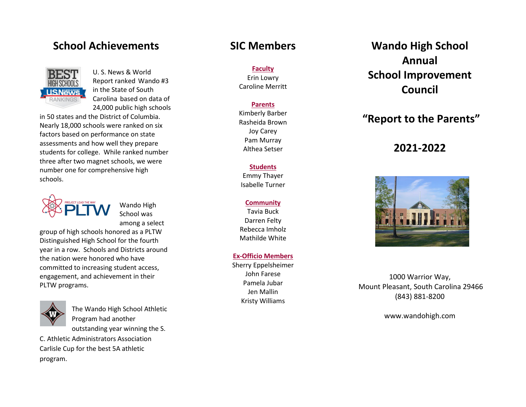## **School Achievements**



U. S. News & World Report ranked Wando #3 in the State of South Carolina based on data of 24,000 public high schools

in 50 states and the District of Columbia. Nearly 18,000 schools were ranked on six factors based on performance on state assessments and how well they prepare students for college. While ranked number three after two magnet schools, we were number one for comprehensive high schools.

Wando High School was among a select

group of high schools honored as a PLTW Distinguished High School for the fourth year in a row. Schools and Districts around the nation were honored who have committed to increasing student access, engagement, and achievement in their PLTW programs.



The Wando High School Athletic Program had another outstanding year winning the S.

C. Athletic Administrators Association Carlisle Cup for the best 5A athletic program.

### **SIC Members**

**Faculty** Erin Lowry Caroline Merritt

### **Parents**

Kimberly Barber Rasheida Brown Joy Carey Pam Murray Althea Setser

### **Students**

Emmy Thayer Isabelle Turner

#### **Community**

Tavia Buck Darren Felty Rebecca Imholz Mathilde White

### **Ex-Officio Members**

Sherry Eppelsheimer John Farese Pamela Jubar Jen Mallin Kristy Williams

**Wando High School Annual School Improvement Council** 

## **"Report to the Parents"**

## **2021-2022**



1000 Warrior Way, Mount Pleasant, South Carolina 29466 (843) 881-8200

www.wandohigh.com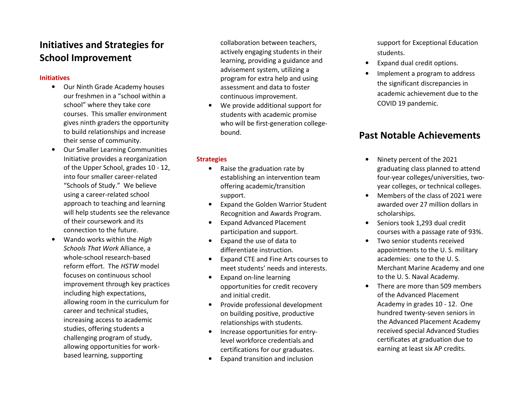## **Initiatives and Strategies for School Improvement**

### **Initiatives**

- Our Ninth Grade Academy houses our freshmen in a "school within a school" where they take core courses. This smaller environment gives ninth graders the opportunity to build relationships and increase their sense of community.
- Our Smaller Learning Communities Initiative provides a reorganization of the Upper School, grades 10 - 12, into four smaller career-related "Schools of Study." We believe using a career-related school approach to teaching and learning will help students see the relevance of their coursework and its connection to the future.
- • Wando works within the *High Schools That Work* Alliance, a whole-school research-based reform effort. The *HSTW* model focuses on continuous school improvement through key practices including high expectations, allowing room in the curriculum for career and technical studies, increasing access to academic studies, offering students a challenging program of study, allowing opportunities for workbased learning, supporting

collaboration between teachers, actively engaging students in their learning, providing a guidance and advisement system, utilizing a program for extra help and using assessment and data to foster continuous improvement.

• We provide additional support for students with academic promise who will be first-generation collegebound.

### **Strategies**

- • Raise the graduation rate by establishing an intervention team offering academic/transition support.
- • Expand the Golden Warrior Student Recognition and Awards Program.
- $\bullet$  Expand Advanced Placement participation and support.
- • Expand the use of data to differentiate instruction.
- $\bullet$  Expand CTE and Fine Arts courses to meet students' needs and interests.
- • Expand on-line learning opportunities for credit recovery and initial credit.
- • Provide professional development on building positive, productive relationships with students.
- • Increase opportunities for entrylevel workforce credentials and certifications for our graduates.
- •Expand transition and inclusion

support for Exceptional Education students.

- •Expand dual credit options.
- • Implement a program to address the significant discrepancies in academic achievement due to the COVID 19 pandemic.

### **Past Notable Achievements**

- • Ninety percent of the 2021 graduating class planned to attend four-year colleges/universities, twoyear colleges, or technical colleges.
- • Members of the class of 2021 were awarded over 27 million dollars in scholarships.
- Seniors took 1,293 dual credit courses with a passage rate of 93%.
- Two senior students received appointments to the U. S. military academies: one to the U. S. Merchant Marine Academy and one to the U. S. Naval Academy.
- • There are more than 509 members of the Advanced Placement Academy in grades 10 - 12. One hundred twenty-seven seniors in the Advanced Placement Academy received special Advanced Studies certificates at graduation due to earning at least six AP credits.